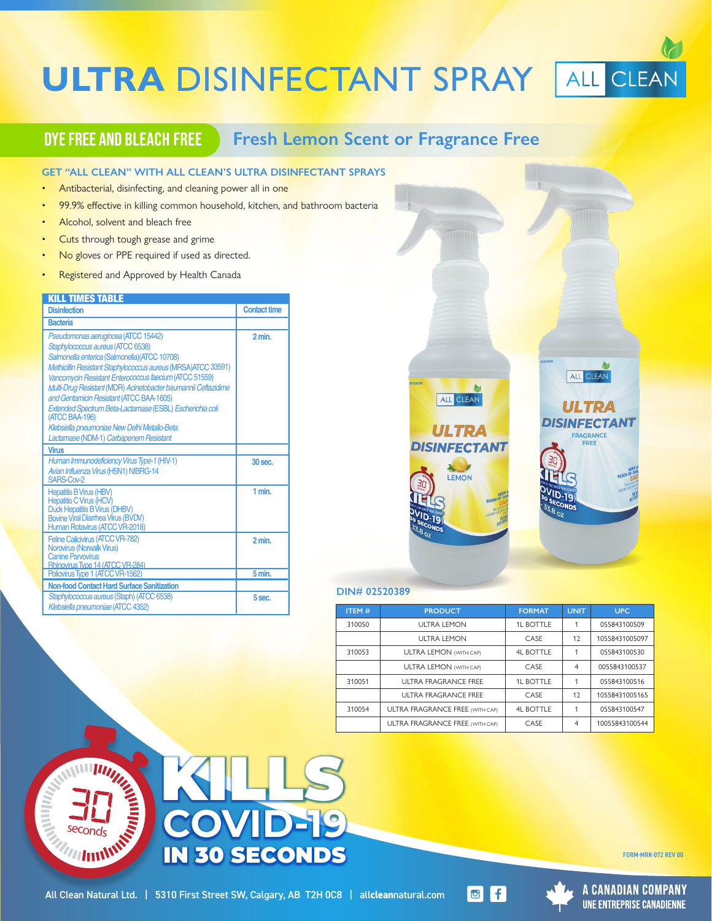# **ULTRA DISINFECTANT SPRAY ALL CLEAN**

# **DYE FREE AND BLEACH FREE** Fresh Lemon Scent or Fragrance Free

#### **GET "ALL CLEAN" WITH ALL CLEAN'S ULTRA DISINFECTANT SPRAYS**

- Antibacterial, disinfecting, and cleaning power all in one
- 99.9% effective in killing common household, kitchen, and bathroom bacteria
- Alcohol, solvent and bleach free
- Cuts through tough grease and grime
- No gloves or PPE required if used as directed.
- The gloves of FFE required if used as directed.<br>• Registered and Approved by Health Canada

#### KILL TIMES TARLE

| <b>Disinfection</b>                                                                                                                                                                                                                                                                                                                                                                                                                                                                                                                         | <b>Contact time</b> |
|---------------------------------------------------------------------------------------------------------------------------------------------------------------------------------------------------------------------------------------------------------------------------------------------------------------------------------------------------------------------------------------------------------------------------------------------------------------------------------------------------------------------------------------------|---------------------|
| <b>Bacteria</b>                                                                                                                                                                                                                                                                                                                                                                                                                                                                                                                             |                     |
| Pseudomonas aeruginosa (ATCC 15442)<br>Staphylococcus aureus (ATCC 6538)<br>Salmonella enterica (Salmonella) (ATCC 10708)<br>Methicillin Resistant Staphylococcus aureus (MRSA) ATCC 33591)<br>Vancomycin Resistant Enterococcus faecium (ATCC 51559)<br>Multi-Drug Resistant (MDR) Acinetobacter baumannii Ceftazidime<br>and Gentamicin Resistant (ATCC BAA-1605)<br>Extended Spectrum Beta-Lactamase (ESBL) Escherichia coli<br>(ATCC BAA-196)<br>Klebsiella pneumoniae New Delhi Metallo-Beta<br>Lactamase (NDM-1) Carbapenem Resistant | 2 min.              |
| <b>Virus</b>                                                                                                                                                                                                                                                                                                                                                                                                                                                                                                                                |                     |
| Human Immunodeficiency Virus Type-1 (HIV-1)<br>Avian Influenza Virus (H5N1) NIBRG-14<br>SARS-Cov-2                                                                                                                                                                                                                                                                                                                                                                                                                                          | $30$ sec.           |
| <b>Hepatitis B Virus (HBV)</b><br><b>Hepatitis C Virus (HCV)</b><br><b>Duck Hepatitis B Virus (DHBV)</b><br><b>Bovine Viral Diarrhea Virus (BVDV)</b><br>Human Rotavirus (ATCC VR-2018)                                                                                                                                                                                                                                                                                                                                                     | 1 min.              |
| Feline Calicivirus (ATCC VR-782)<br>Norovirus (Norwalk Virus)<br><b>Canine Parvovirus</b><br>Rhinovirus Type 14 (ATCC VR-284)                                                                                                                                                                                                                                                                                                                                                                                                               | 2 min.              |
| Poliovirus Type 1 (ATCC VR-1562)                                                                                                                                                                                                                                                                                                                                                                                                                                                                                                            | 5 min.              |
| <b>Non-food Contact Hard Surface Sanitization</b>                                                                                                                                                                                                                                                                                                                                                                                                                                                                                           |                     |
| Staphylococcus aureus (Staph) (ATCC 6538)<br>Klebsiella pneumoniae (ATCC 4352)                                                                                                                                                                                                                                                                                                                                                                                                                                                              | 5 sec.              |



#### **DIN# 02520389**

| <b>ITEM#</b> | <b>PRODUCT</b>                         | <b>FORMAT</b>    | <b>UNIT</b>    | <b>UPC</b>     |
|--------------|----------------------------------------|------------------|----------------|----------------|
| 310050       | <b>ULTRA LEMON</b>                     | <b>1L BOTTLE</b> | 1              | 055843100509   |
|              | <b>ULTRA LEMON</b>                     | CASE             | 12             | 10558431005097 |
| 310053       | <b>ULTRA LEMON (WITH CAP)</b>          | <b>4L BOTTLE</b> | 1              | 055843100530   |
|              | <b>ULTRA LEMON (WITH CAP)</b>          | CASE             | $\overline{4}$ | 0055843100537  |
| 310051       | <b>ULTRA FRAGRANCE FREE</b>            | <b>1L BOTTLE</b> | 1              | 055843100516   |
|              | ULTRA FRAGRANCE FREE                   | CASE             | 12             | 10558431005165 |
| 310054       | <b>ULTRA FRAGRANCE FREE (WITH CAP)</b> | <b>4L BOTTLE</b> | 1              | 055843100547   |
|              | <b>ULTRA FRAGRANCE FREE (WITH CAP)</b> | CASE             | 4              | 10055843100544 |









FORM-MRK-072 REV 00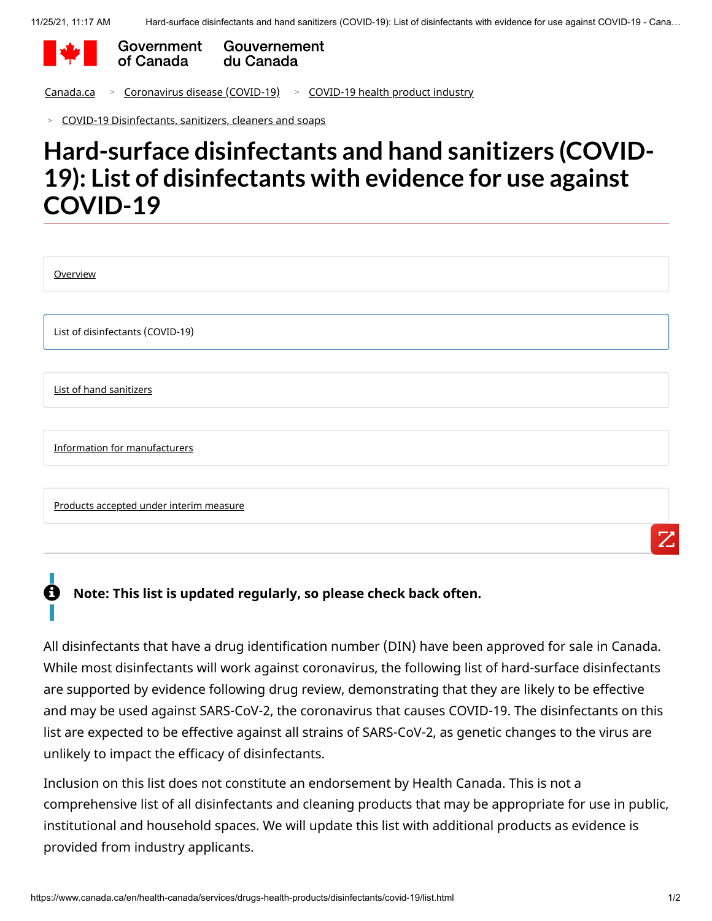

Government Gouvernement du Canada of Canada

[Canada.ca](https://www.canada.ca/en.html) > [Coronavirus disease \(COVID-19\)](https://www.canada.ca/en/public-health/services/diseases/coronavirus-disease-covid-19.html) > [COVID-19 health product industry](https://www.canada.ca/en/health-canada/services/drugs-health-products/covid19-industry.html)

[COVID-19 Disinfectants, sanitizers, cleaners and soaps](https://www.canada.ca/en/health-canada/services/drugs-health-products/covid19-industry/disinfectanst-sanitizers-cleaners-soaps.html) >

# **Hard-surface disinfectants and hand sanitizers (COVID-19): List of disinfectants with evidence for use against COVID-19**

| Overview                                |
|-----------------------------------------|
|                                         |
| List of disinfectants (COVID-19)        |
|                                         |
| <b>List of hand sanitizers</b>          |
|                                         |
| Information for manufacturers           |
|                                         |
| Products accepted under interim measure |
| ワ                                       |

### **Note: This list is updated regularly, so please check back often.** A

All disinfectants that have a drug identification number (DIN) have been approved for sale in Canada. While most disinfectants will work against coronavirus, the following list of hard-surface disinfectants are supported by evidence following drug review, demonstrating that they are likely to be effective and may be used against SARS-CoV-2, the coronavirus that causes COVID-19. The disinfectants on this list are expected to be effective against all strains of SARS-CoV-2, as genetic changes to the virus are unlikely to impact the efficacy of disinfectants.

Inclusion on this list does not constitute an endorsement by Health Canada. This is not a comprehensive list of all disinfectants and cleaning products that may be appropriate for use in public, institutional and household spaces. We will update this list with additional products as evidence is provided from industry applicants.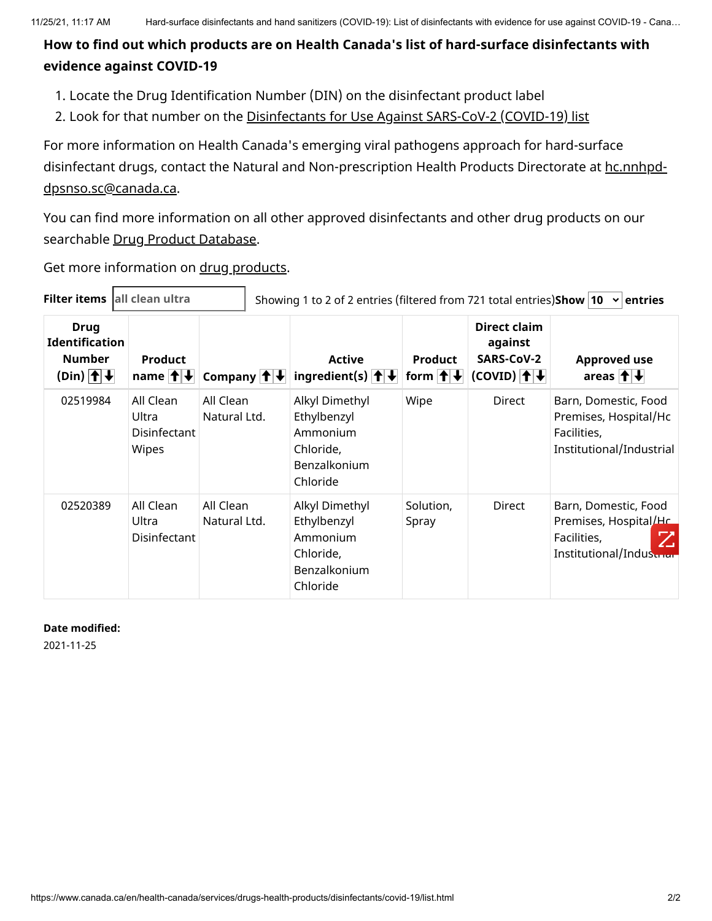### **How to find out which products are on Health Canada's list of hard-surface disinfectants with evidence against COVID-19**

- 1. Locate the Drug Identification Number (DIN) on the disinfectant product label
- 2. Look for that number on the [Disinfectants for Use Against SARS-CoV-2 \(COVID-19\) list](#page-2-0)

For more information on Health Canada's emerging viral pathogens approach for hard-surface [disinfectant drugs, contact the Natural and Non-prescription Health Products Directorate at hc.nnhpd](mailto:hc.nnhpd-dpsnso.sc@canada.ca)dpsnso.sc@canada.ca.

You can find more information on all other approved disinfectants and other drug products on our searchable [Drug Product Database.](https://www.canada.ca/en/health-canada/services/drugs-health-products/drug-products/drug-product-database.html)

Get more information on [drug products.](https://www.canada.ca/en/health-canada/services/drugs-health-products/drug-products.html)

<span id="page-2-0"></span>

| Filter items all clean ultra |                                                                                             |                                                    | Showing 1 to 2 of 2 entries (filtered from 721 total entries) Show 10 $\rightarrow$ entries |                                                                                    |                                    |                                                                          |                                                                                              |
|------------------------------|---------------------------------------------------------------------------------------------|----------------------------------------------------|---------------------------------------------------------------------------------------------|------------------------------------------------------------------------------------|------------------------------------|--------------------------------------------------------------------------|----------------------------------------------------------------------------------------------|
|                              | <b>Drug</b><br><b>Identification</b><br><b>Number</b><br>$(Din)$ $ \uparrow $ $\downarrow $ | <b>Product</b><br>name $  \cdot  $                 |                                                                                             | <b>Active</b><br>Company $ \hat{\mathbf{t}} $ ingredient(s) $ \hat{\mathbf{t}} $   | <b>Product</b><br>form $  \cdot  $ | <b>Direct claim</b><br>against<br>SARS-CoV-2<br>$(COVID)$ $  $ $  $ $  $ | <b>Approved use</b><br>areas $ \hat{\mathbf{f}} $ $\downarrow$                               |
|                              | 02519984                                                                                    | All Clean<br>Ultra<br><b>Disinfectant</b><br>Wipes | All Clean<br>Natural Ltd.                                                                   | Alkyl Dimethyl<br>Ethylbenzyl<br>Ammonium<br>Chloride,<br>Benzalkonium<br>Chloride | Wipe                               | Direct                                                                   | Barn, Domestic, Food<br>Premises, Hospital/Hc<br>Facilities,<br>Institutional/Industrial     |
|                              | 02520389                                                                                    | All Clean<br>Ultra<br>Disinfectant                 | All Clean<br>Natural Ltd.                                                                   | Alkyl Dimethyl<br>Ethylbenzyl<br>Ammonium<br>Chloride,<br>Benzalkonium<br>Chloride | Solution,<br>Spray                 | <b>Direct</b>                                                            | Barn, Domestic, Food<br>Premises, Hospital/Hc<br>Z<br>Facilities,<br>Institutional/Indusurar |

#### **Date modified:**

2021-11-25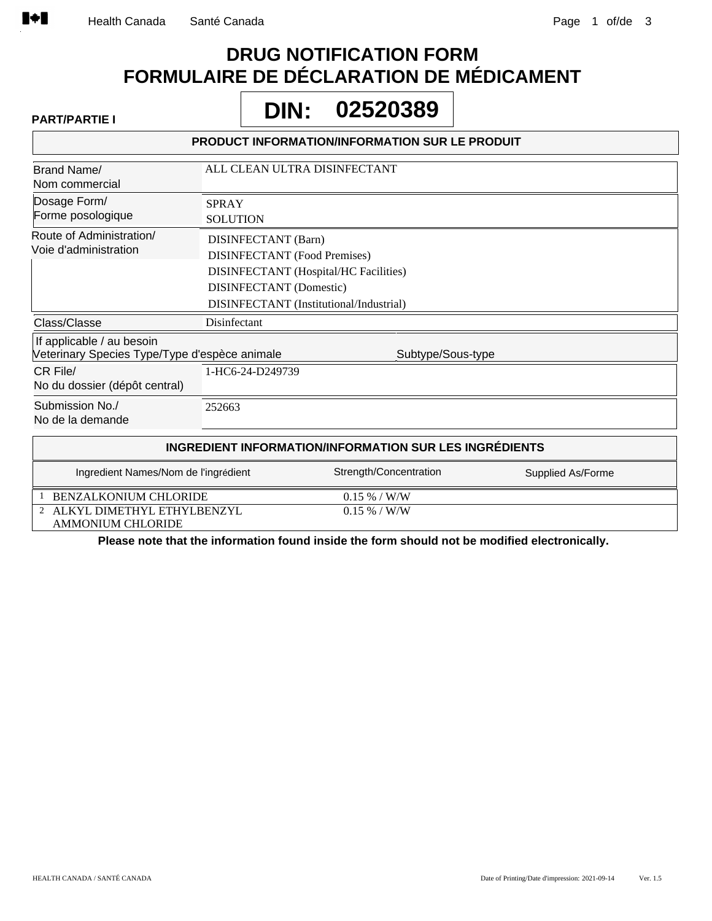ALKYL DIMETHYL ETHYLBENZYL 2

# **DRUG NOTIFICATION FORM FORMULAIRE DE DÉCLARATION DE MÉDICAMENT**

Г

**PART/PARTIE I 02520389 DIN:**

|                                                                            |                                                                                              | <b>PRODUCT INFORMATION/INFORMATION SUR LE PRODUIT</b>                                   |                   |
|----------------------------------------------------------------------------|----------------------------------------------------------------------------------------------|-----------------------------------------------------------------------------------------|-------------------|
| Brand Name/<br>Nom commercial                                              |                                                                                              | ALL CLEAN ULTRA DISINFECTANT                                                            |                   |
| Dosage Form/<br>Forme posologique                                          | <b>SPRAY</b><br><b>SOLUTION</b>                                                              |                                                                                         |                   |
| Route of Administration/<br>Voie d'administration                          | DISINFECTANT (Barn)<br><b>DISINFECTANT</b> (Food Premises)<br><b>DISINFECTANT</b> (Domestic) | <b>DISINFECTANT</b> (Hospital/HC Facilities)<br>DISINFECTANT (Institutional/Industrial) |                   |
| Class/Classe                                                               | Disinfectant                                                                                 |                                                                                         |                   |
| If applicable / au besoin<br>Veterinary Species Type/Type d'espèce animale |                                                                                              | Subtype/Sous-type                                                                       |                   |
| CR File/<br>No du dossier (dépôt central)                                  | 1-HC6-24-D249739                                                                             |                                                                                         |                   |
| Submission No./<br>No de la demande                                        | 252663                                                                                       |                                                                                         |                   |
|                                                                            |                                                                                              | INGREDIENT INFORMATION/INFORMATION SUR LES INGRÉDIENTS                                  |                   |
| Ingredient Names/Nom de l'ingrédient                                       |                                                                                              | Strength/Concentration                                                                  | Supplied As/Forme |
| BENZALKONIUM CHLORIDE                                                      |                                                                                              | $0.15\% / W/W$                                                                          |                   |

AMMONIUM CHLORIDE **Please note that the information found inside the form should not be modified electronically.**

0.15 % / W/W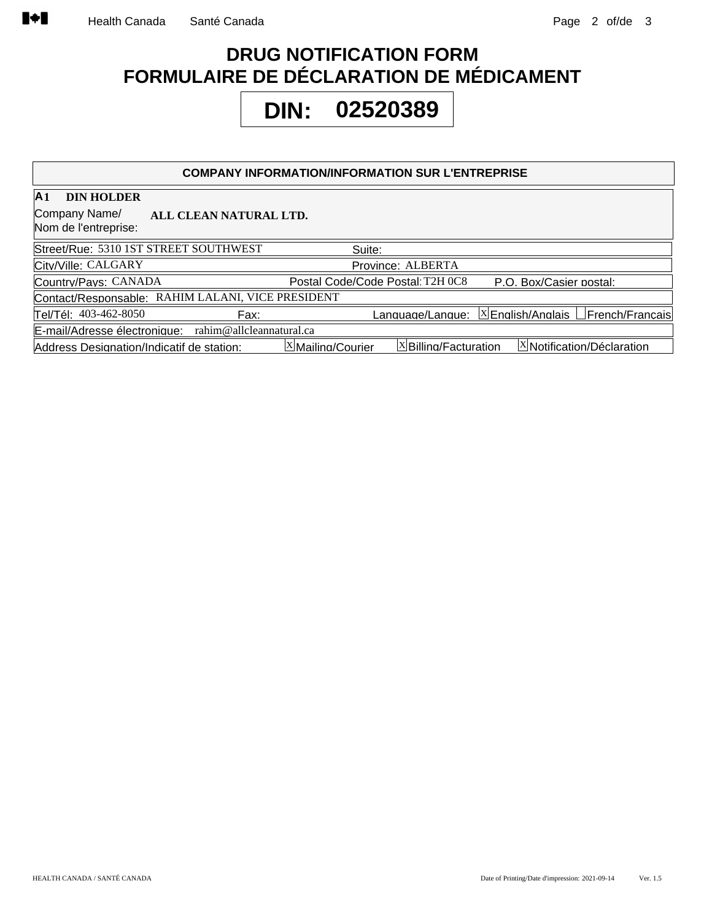# **DRUG NOTIFICATION FORM FORMULAIRE DE DÉCLARATION DE MÉDICAMENT**

# **02520389 DIN:**

#### **COMPANY INFORMATION/INFORMATION SUR L'ENTREPRISE**

| A <sub>1</sub><br><b>DIN HOLDER</b>                             |                                                                           |
|-----------------------------------------------------------------|---------------------------------------------------------------------------|
| Company Name/<br>ALL CLEAN NATURAL LTD.<br>Nom de l'entreprise: |                                                                           |
| Street/Rue: 5310 1ST STREET SOUTHWEST                           | Suite:                                                                    |
| City/Ville: CALGARY                                             | Province: ALBERTA                                                         |
| Country/Pavs: CANADA                                            | P.O. Box/Casier postal:<br>Postal Code/Code Postal: T2H 0C8               |
| Contact/Responsable: RAHIM LALANI, VICE PRESIDENT               |                                                                           |
| Tel/Tél: 403-462-8050<br>Fax:                                   |                                                                           |
| rahim@allcleannatural.ca<br>E-mail/Adresse électronique:        |                                                                           |
| Address Designation/Indicatif de station:                       | $X$ Billing/Facturation<br>X Notification/Déclaration<br>⊠Mailing/Courier |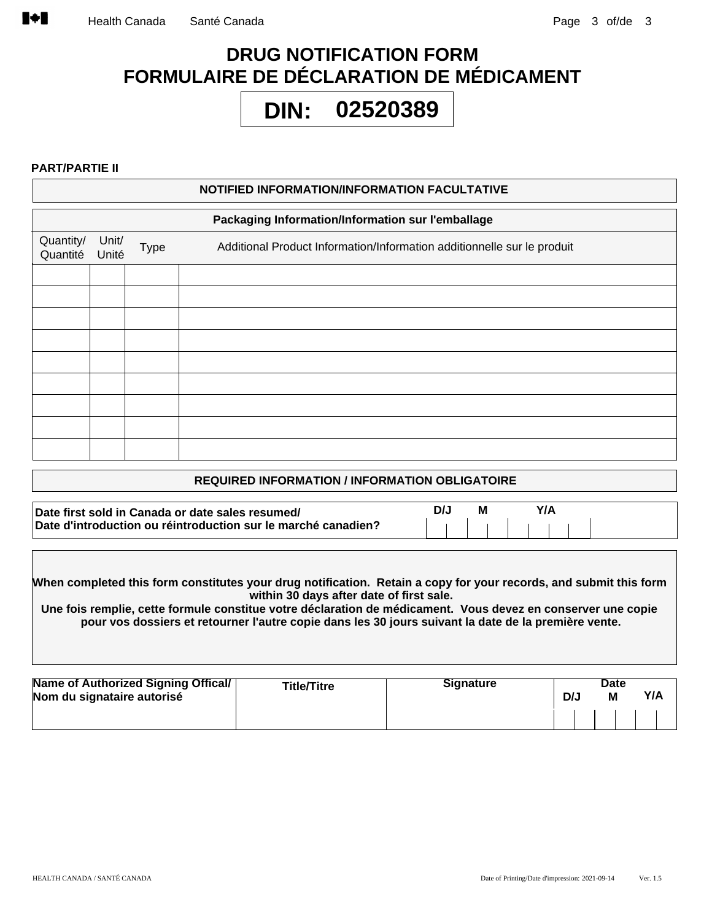# **DRUG NOTIFICATION FORM FORMULAIRE DE DÉCLARATION DE MÉDICAMENT**

#### **02520389 DIN:**

#### **PART/PARTIE II**

|                       |                |             | NOTIFIED INFORMATION/INFORMATION FACULTATIVE                            |
|-----------------------|----------------|-------------|-------------------------------------------------------------------------|
|                       |                |             | Packaging Information/Information sur l'emballage                       |
| Quantity/<br>Quantité | Unit/<br>Unité | <b>Type</b> | Additional Product Information/Information additionnelle sur le produit |
|                       |                |             |                                                                         |
|                       |                |             |                                                                         |
|                       |                |             |                                                                         |
|                       |                |             |                                                                         |
|                       |                |             |                                                                         |
|                       |                |             |                                                                         |
|                       |                |             |                                                                         |
|                       |                |             |                                                                         |
|                       |                |             |                                                                         |
|                       |                |             |                                                                         |

#### **REQUIRED INFORMATION / INFORMATION OBLIGATOIRE**

| Date first sold in Canada or date sales resumed/              | М |  |
|---------------------------------------------------------------|---|--|
| Date d'introduction ou réintroduction sur le marché canadien? |   |  |

**When completed this form constitutes your drug notification. Retain a copy for your records, and submit this form within 30 days after date of first sale.**

**Une fois remplie, cette formule constitue votre déclaration de médicament. Vous devez en conserver une copie pour vos dossiers et retourner l'autre copie dans les 30 jours suivant la date de la première vente.**

| Name of Authorized Signing Offical/<br>Nom du signataire autorisé | <b>Title/Titre</b> | <b>Signature</b> | D/J | Date<br>M | Y/A |
|-------------------------------------------------------------------|--------------------|------------------|-----|-----------|-----|
|                                                                   |                    |                  |     |           |     |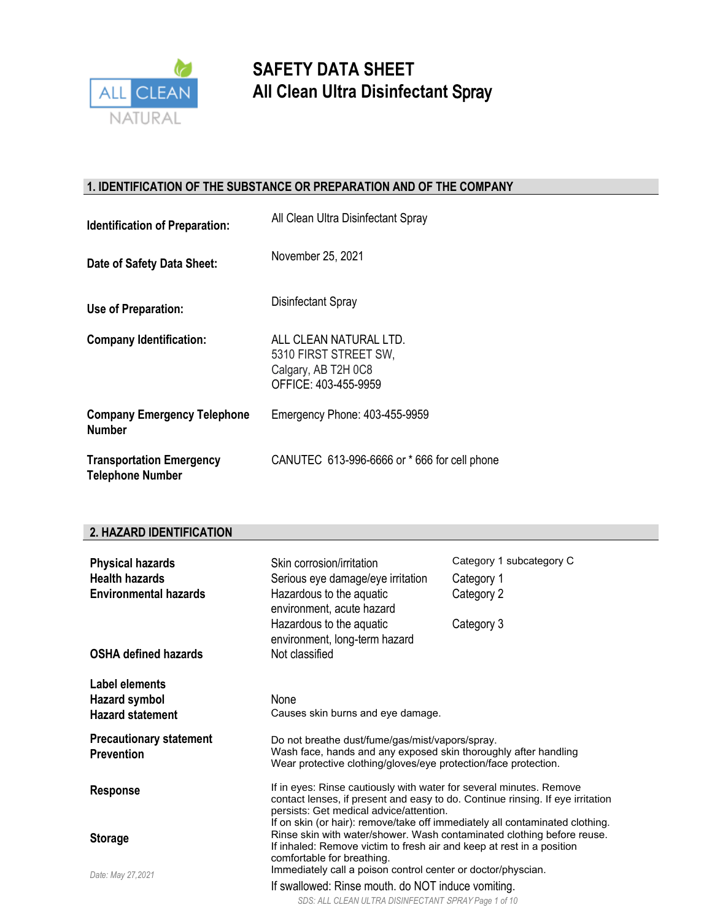

### **1. IDENTIFICATION OF THE SUBSTANCE OR PREPARATION AND OF THE COMPANY**

| <b>Identification of Preparation:</b>                      | All Clean Ultra Disinfectant Spray                                                             |
|------------------------------------------------------------|------------------------------------------------------------------------------------------------|
| Date of Safety Data Sheet:                                 | November 25, 2021                                                                              |
| Use of Preparation:                                        | Disinfectant Spray                                                                             |
| <b>Company Identification:</b>                             | ALL CLEAN NATURAL LTD.<br>5310 FIRST STREET SW.<br>Calgary, AB T2H 0C8<br>OFFICE: 403-455-9959 |
| <b>Company Emergency Telephone</b><br><b>Number</b>        | Emergency Phone: 403-455-9959                                                                  |
| <b>Transportation Emergency</b><br><b>Telephone Number</b> | CANUTEC 613-996-6666 or *666 for cell phone                                                    |

#### **2. HAZARD IDENTIFICATION**

| <b>Physical hazards</b>                             | Skin corrosion/irritation                                                                                                                                                                        | Category 1 subcategory C                                                                                                                               |  |
|-----------------------------------------------------|--------------------------------------------------------------------------------------------------------------------------------------------------------------------------------------------------|--------------------------------------------------------------------------------------------------------------------------------------------------------|--|
| <b>Health hazards</b>                               | Serious eye damage/eye irritation                                                                                                                                                                | Category 1                                                                                                                                             |  |
| <b>Environmental hazards</b>                        | Hazardous to the aquatic<br>environment, acute hazard                                                                                                                                            | Category 2                                                                                                                                             |  |
|                                                     | Hazardous to the aquatic<br>environment, long-term hazard                                                                                                                                        | Category 3                                                                                                                                             |  |
| <b>OSHA defined hazards</b>                         | Not classified                                                                                                                                                                                   |                                                                                                                                                        |  |
| Label elements                                      |                                                                                                                                                                                                  |                                                                                                                                                        |  |
| Hazard symbol                                       | None                                                                                                                                                                                             |                                                                                                                                                        |  |
| <b>Hazard statement</b>                             | Causes skin burns and eye damage.                                                                                                                                                                |                                                                                                                                                        |  |
| <b>Precautionary statement</b><br><b>Prevention</b> | Do not breathe dust/fume/gas/mist/vapors/spray.<br>Wash face, hands and any exposed skin thoroughly after handling                                                                               |                                                                                                                                                        |  |
|                                                     | Wear protective clothing/gloves/eye protection/face protection.                                                                                                                                  |                                                                                                                                                        |  |
| <b>Response</b>                                     | If in eyes: Rinse cautiously with water for several minutes. Remove<br>contact lenses, if present and easy to do. Continue rinsing. If eye irritation<br>persists: Get medical advice/attention. |                                                                                                                                                        |  |
|                                                     |                                                                                                                                                                                                  | If on skin (or hair): remove/take off immediately all contaminated clothing.<br>Rinse skin with water/shower. Wash contaminated clothing before reuse. |  |
| <b>Storage</b>                                      | If inhaled: Remove victim to fresh air and keep at rest in a position<br>comfortable for breathing.                                                                                              |                                                                                                                                                        |  |
| Date: May 27,2021                                   | Immediately call a poison control center or doctor/physcian.                                                                                                                                     |                                                                                                                                                        |  |
|                                                     | If swallowed: Rinse mouth. do NOT induce vomiting.                                                                                                                                               |                                                                                                                                                        |  |
|                                                     | SDS: ALL CLEAN ULTRA DISINFECTANT SPRAY Page 1 of 10                                                                                                                                             |                                                                                                                                                        |  |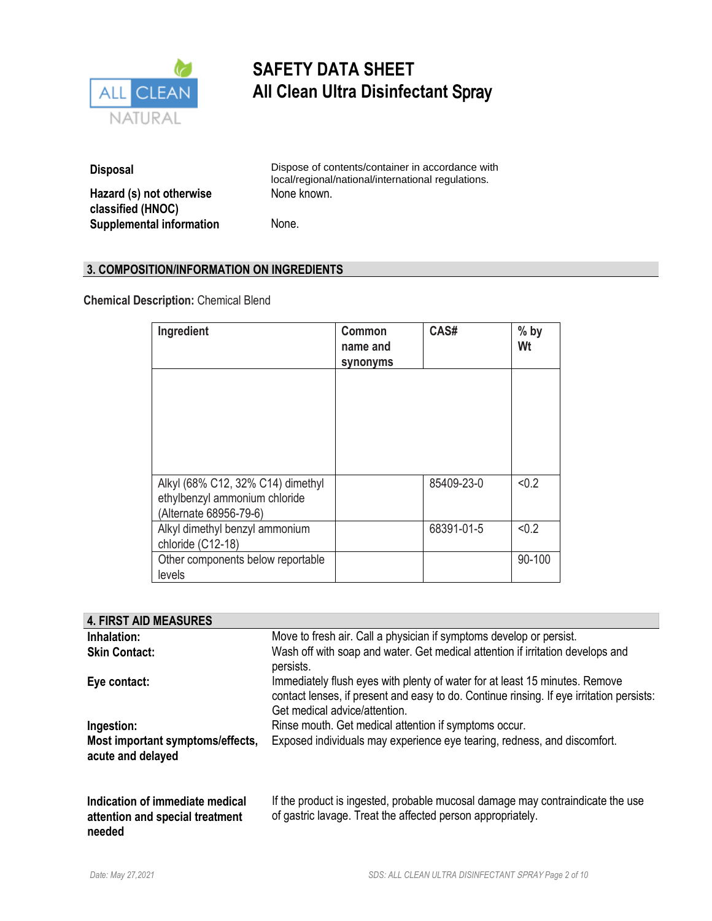

| <b>Disposal</b>                               | Dispose of contents/container in accordance with<br>local/regional/national/international regulations. |
|-----------------------------------------------|--------------------------------------------------------------------------------------------------------|
| Hazard (s) not otherwise<br>classified (HNOC) | None known.                                                                                            |
| <b>Supplemental information</b>               | None.                                                                                                  |

### **3. COMPOSITION/INFORMATION ON INGREDIENTS**

**Chemical Description:** Chemical Blend

| Ingredient                                                                                   | Common<br>name and<br>synonyms | CAS#       | $%$ by<br>Wt |
|----------------------------------------------------------------------------------------------|--------------------------------|------------|--------------|
|                                                                                              |                                |            |              |
| Alkyl (68% C12, 32% C14) dimethyl<br>ethylbenzyl ammonium chloride<br>(Alternate 68956-79-6) |                                | 85409-23-0 | < 0.2        |
| Alkyl dimethyl benzyl ammonium<br>chloride (C12-18)                                          |                                | 68391-01-5 | < 0.2        |
| Other components below reportable<br>levels                                                  |                                |            | 90-100       |

| <b>4. FIRST AID MEASURES</b>                                                 |                                                                                                                                                                                                          |
|------------------------------------------------------------------------------|----------------------------------------------------------------------------------------------------------------------------------------------------------------------------------------------------------|
| Inhalation:                                                                  | Move to fresh air. Call a physician if symptoms develop or persist.                                                                                                                                      |
| <b>Skin Contact:</b>                                                         | Wash off with soap and water. Get medical attention if irritation develops and<br>persists.                                                                                                              |
| Eye contact:                                                                 | Immediately flush eyes with plenty of water for at least 15 minutes. Remove<br>contact lenses, if present and easy to do. Continue rinsing. If eye irritation persists:<br>Get medical advice/attention. |
| Ingestion:                                                                   | Rinse mouth. Get medical attention if symptoms occur.                                                                                                                                                    |
| Most important symptoms/effects,<br>acute and delayed                        | Exposed individuals may experience eye tearing, redness, and discomfort.                                                                                                                                 |
| Indication of immediate medical<br>attention and special treatment<br>needed | If the product is ingested, probable mucosal damage may contraindicate the use<br>of gastric lavage. Treat the affected person appropriately.                                                            |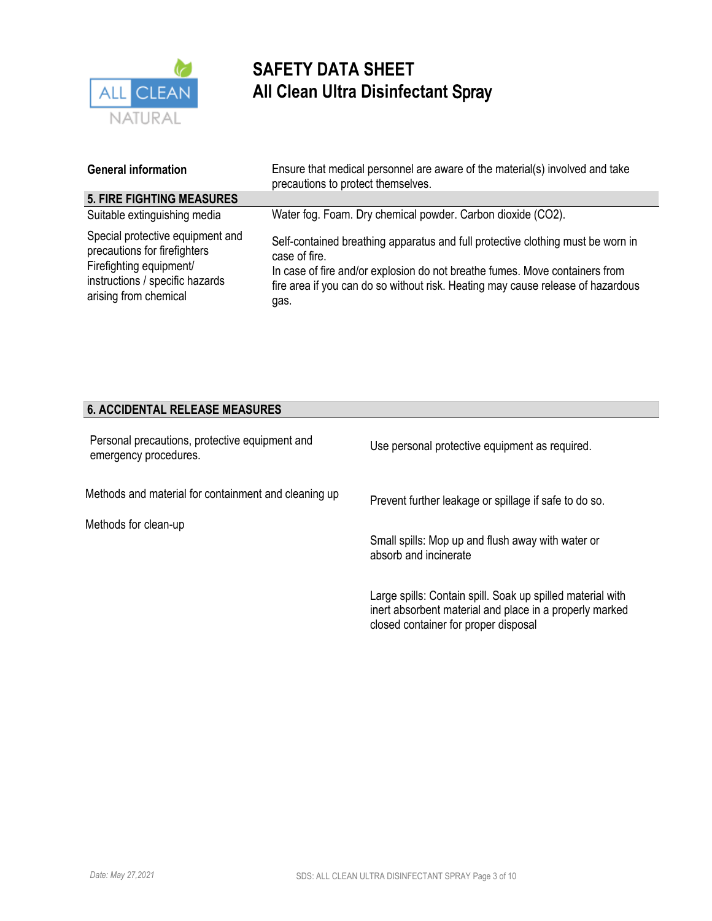

| <b>General information</b>                                                                                                                              | Ensure that medical personnel are aware of the material(s) involved and take<br>precautions to protect themselves.                                                                                                                                                         |
|---------------------------------------------------------------------------------------------------------------------------------------------------------|----------------------------------------------------------------------------------------------------------------------------------------------------------------------------------------------------------------------------------------------------------------------------|
| <b>5. FIRE FIGHTING MEASURES</b>                                                                                                                        |                                                                                                                                                                                                                                                                            |
| Suitable extinguishing media                                                                                                                            | Water fog. Foam. Dry chemical powder. Carbon dioxide (CO2).                                                                                                                                                                                                                |
| Special protective equipment and<br>precautions for firefighters<br>Firefighting equipment/<br>instructions / specific hazards<br>arising from chemical | Self-contained breathing apparatus and full protective clothing must be worn in<br>case of fire.<br>In case of fire and/or explosion do not breathe fumes. Move containers from<br>fire area if you can do so without risk. Heating may cause release of hazardous<br>gas. |

### **6. ACCIDENTAL RELEASE MEASURES**

| Personal precautions, protective equipment and<br>emergency procedures. | Use personal protective equipment as required.                                                                                                                |
|-------------------------------------------------------------------------|---------------------------------------------------------------------------------------------------------------------------------------------------------------|
| Methods and material for containment and cleaning up                    | Prevent further leakage or spillage if safe to do so.                                                                                                         |
| Methods for clean-up                                                    | Small spills: Mop up and flush away with water or<br>absorb and incinerate                                                                                    |
|                                                                         | Large spills: Contain spill. Soak up spilled material with<br>inert absorbent material and place in a properly marked<br>closed container for proper disposal |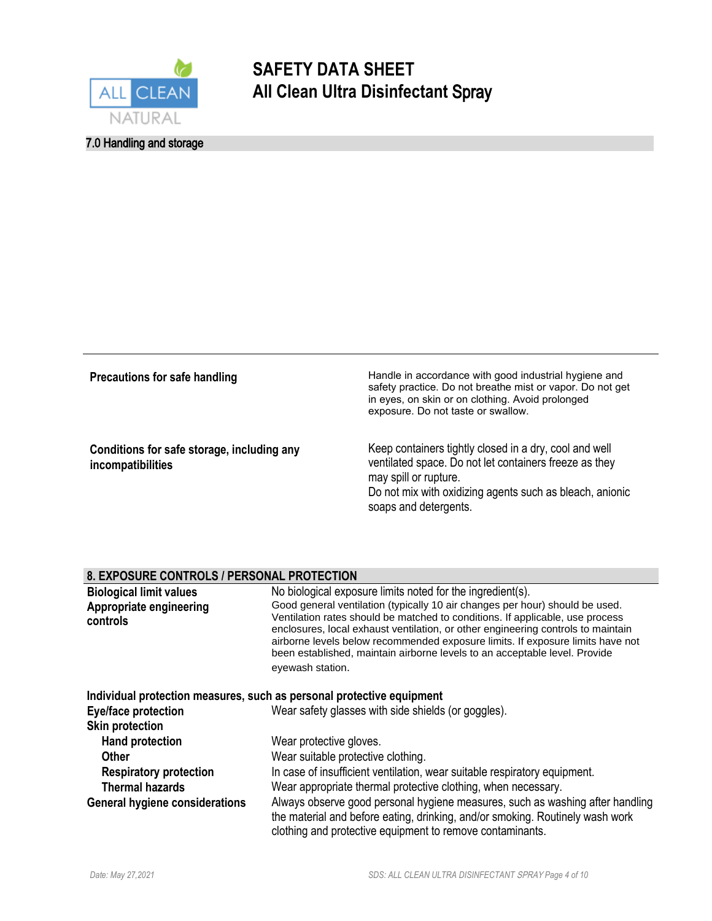

### 7.0 Handling and storage

| Precautions for safe handling                                   | Handle in accordance with good industrial hygiene and<br>safety practice. Do not breathe mist or vapor. Do not get<br>in eyes, on skin or on clothing. Avoid prolonged<br>exposure. Do not taste or swallow.                   |
|-----------------------------------------------------------------|--------------------------------------------------------------------------------------------------------------------------------------------------------------------------------------------------------------------------------|
| Conditions for safe storage, including any<br>incompatibilities | Keep containers tightly closed in a dry, cool and well<br>ventilated space. Do not let containers freeze as they<br>may spill or rupture.<br>Do not mix with oxidizing agents such as bleach, anionic<br>soaps and detergents. |

#### **8. EXPOSURE CONTROLS / PERSONAL PROTECTION**

| <b>Biological limit values</b><br>Appropriate engineering<br>controls | No biological exposure limits noted for the ingredient(s).<br>Good general ventilation (typically 10 air changes per hour) should be used.<br>Ventilation rates should be matched to conditions. If applicable, use process<br>enclosures, local exhaust ventilation, or other engineering controls to maintain<br>airborne levels below recommended exposure limits. If exposure limits have not<br>been established, maintain airborne levels to an acceptable level. Provide<br>eyewash station. |
|-----------------------------------------------------------------------|-----------------------------------------------------------------------------------------------------------------------------------------------------------------------------------------------------------------------------------------------------------------------------------------------------------------------------------------------------------------------------------------------------------------------------------------------------------------------------------------------------|
|                                                                       | Individual protection measures, such as personal protective equipment                                                                                                                                                                                                                                                                                                                                                                                                                               |
| Eye/face protection                                                   | Wear safety glasses with side shields (or goggles).                                                                                                                                                                                                                                                                                                                                                                                                                                                 |
| <b>Skin protection</b>                                                |                                                                                                                                                                                                                                                                                                                                                                                                                                                                                                     |
| <b>Hand protection</b>                                                | Wear protective gloves.                                                                                                                                                                                                                                                                                                                                                                                                                                                                             |
| <b>Other</b>                                                          | Wear suitable protective clothing.                                                                                                                                                                                                                                                                                                                                                                                                                                                                  |
| <b>Respiratory protection</b>                                         | In case of insufficient ventilation, wear suitable respiratory equipment.                                                                                                                                                                                                                                                                                                                                                                                                                           |
| <b>Thermal hazards</b>                                                | Wear appropriate thermal protective clothing, when necessary.                                                                                                                                                                                                                                                                                                                                                                                                                                       |
| <b>General hygiene considerations</b>                                 | Always observe good personal hygiene measures, such as washing after handling<br>the material and before eating, drinking, and/or smoking. Routinely wash work<br>clothing and protective equipment to remove contaminants.                                                                                                                                                                                                                                                                         |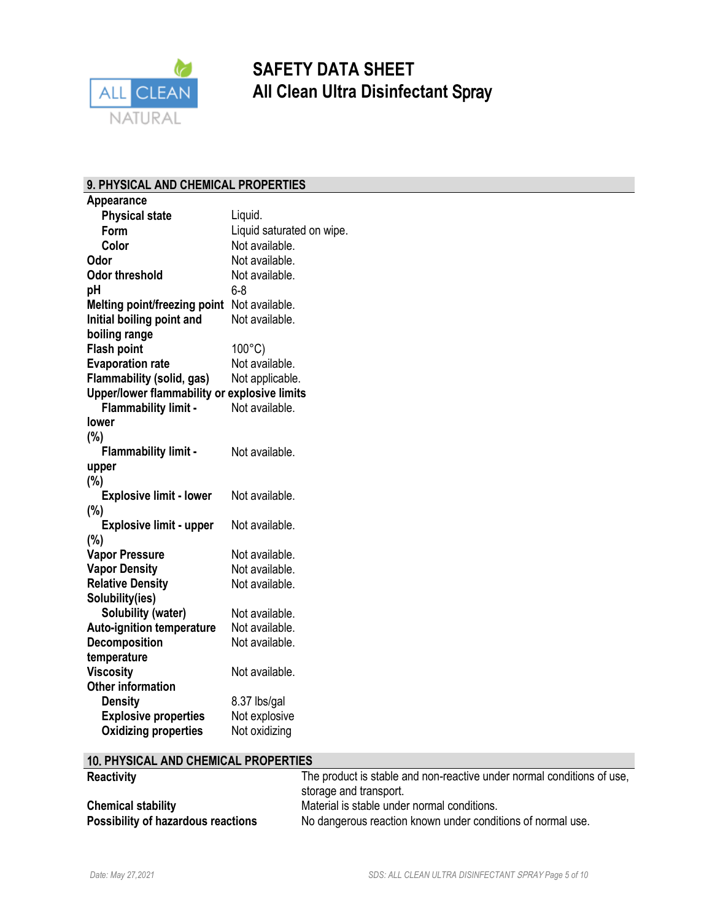

### **9. PHYSICAL AND CHEMICAL PROPERTIES**

| <b>Appearance</b>                                        |                                  |
|----------------------------------------------------------|----------------------------------|
| <b>Physical state</b>                                    | Liquid.                          |
| Form                                                     | Liquid saturated on wipe.        |
| Color                                                    | Not available.                   |
| Odor                                                     | Not available.                   |
| <b>Odor threshold</b>                                    | Not available.                   |
| рH                                                       | $6 - 8$                          |
| Melting point/freezing point                             | Not available.                   |
| Initial boiling point and                                | Not available.                   |
| boiling range                                            |                                  |
| <b>Flash point</b>                                       | $100^{\circ}$ C)                 |
| <b>Evaporation rate</b>                                  | Not available.                   |
| Flammability (solid, gas)                                | Not applicable.                  |
| Upper/lower flammability or explosive limits             |                                  |
| <b>Flammability limit -</b>                              | Not available.                   |
| lower                                                    |                                  |
| (%)                                                      |                                  |
| <b>Flammability limit -</b>                              | Not available.                   |
| upper                                                    |                                  |
| (%)                                                      |                                  |
| <b>Explosive limit - lower</b>                           | Not available.                   |
| (%)                                                      |                                  |
| <b>Explosive limit - upper</b>                           | Not available.                   |
| $(\%)$                                                   |                                  |
| <b>Vapor Pressure</b>                                    | Not available.                   |
| <b>Vapor Density</b>                                     | Not available.                   |
| <b>Relative Density</b>                                  | Not available.                   |
| Solubility(ies)                                          |                                  |
| <b>Solubility (water)</b>                                | Not available.<br>Not available. |
| <b>Auto-ignition temperature</b><br><b>Decomposition</b> | Not available.                   |
| temperature                                              |                                  |
| <b>Viscosity</b>                                         | Not available.                   |
| <b>Other information</b>                                 |                                  |
| <b>Density</b>                                           | 8.37 lbs/gal                     |
| <b>Explosive properties</b>                              | Not explosive                    |
| <b>Oxidizing properties</b>                              | Not oxidizing                    |
|                                                          |                                  |

#### 10. **PHYSICAL AND CHEMICAL PROPERTIES**

| <b>Reactivity</b>                  | The product is stable and non-reactive under normal conditions of use, |  |
|------------------------------------|------------------------------------------------------------------------|--|
|                                    | storage and transport.                                                 |  |
| <b>Chemical stability</b>          | Material is stable under normal conditions.                            |  |
| Possibility of hazardous reactions | No dangerous reaction known under conditions of normal use.            |  |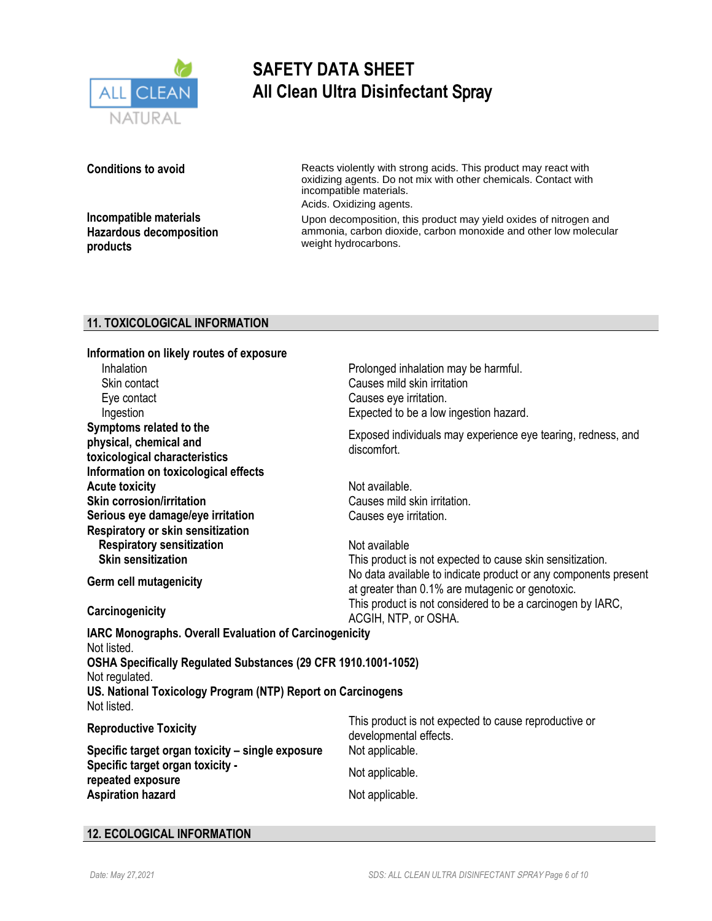

**Conditions to avoid**

**Incompatible materials Hazardous decomposition products**

Reacts violently with strong acids. This product may react with oxidizing agents. Do not mix with other chemicals. Contact with incompatible materials. Acids. Oxidizing agents.

Upon decomposition, this product may yield oxides of nitrogen and ammonia, carbon dioxide, carbon monoxide and other low molecular weight hydrocarbons.

### **11. TOXICOLOGICAL INFORMATION**

| Information on likely routes of exposure<br>Inhalation<br>Skin contact<br>Eye contact<br>Ingestion<br>Symptoms related to the                                                                                                           | Prolonged inhalation may be harmful.<br>Causes mild skin irritation<br>Causes eye irritation.<br>Expected to be a low ingestion hazard.                                          |  |  |
|-----------------------------------------------------------------------------------------------------------------------------------------------------------------------------------------------------------------------------------------|----------------------------------------------------------------------------------------------------------------------------------------------------------------------------------|--|--|
| physical, chemical and<br>toxicological characteristics<br>Information on toxicological effects                                                                                                                                         | Exposed individuals may experience eye tearing, redness, and<br>discomfort.                                                                                                      |  |  |
| <b>Acute toxicity</b><br><b>Skin corrosion/irritation</b>                                                                                                                                                                               | Not available.<br>Causes mild skin irritation.                                                                                                                                   |  |  |
| Serious eye damage/eye irritation<br>Respiratory or skin sensitization<br><b>Respiratory sensitization</b>                                                                                                                              | Causes eye irritation.<br>Not available                                                                                                                                          |  |  |
| <b>Skin sensitization</b><br><b>Germ cell mutagenicity</b>                                                                                                                                                                              | This product is not expected to cause skin sensitization.<br>No data available to indicate product or any components present<br>at greater than 0.1% are mutagenic or genotoxic. |  |  |
| Carcinogenicity                                                                                                                                                                                                                         | This product is not considered to be a carcinogen by IARC,<br>ACGIH, NTP, or OSHA.                                                                                               |  |  |
| IARC Monographs. Overall Evaluation of Carcinogenicity<br>Not listed.<br>OSHA Specifically Regulated Substances (29 CFR 1910.1001-1052)<br>Not regulated.<br>US. National Toxicology Program (NTP) Report on Carcinogens<br>Not listed. |                                                                                                                                                                                  |  |  |
| <b>Reproductive Toxicity</b>                                                                                                                                                                                                            | This product is not expected to cause reproductive or<br>developmental effects.                                                                                                  |  |  |
| Specific target organ toxicity - single exposure                                                                                                                                                                                        | Not applicable.                                                                                                                                                                  |  |  |
| Specific target organ toxicity -<br>repeated exposure                                                                                                                                                                                   | Not applicable.                                                                                                                                                                  |  |  |
| <b>Aspiration hazard</b>                                                                                                                                                                                                                | Not applicable.                                                                                                                                                                  |  |  |

### **12. ECOLOGICAL INFORMATION**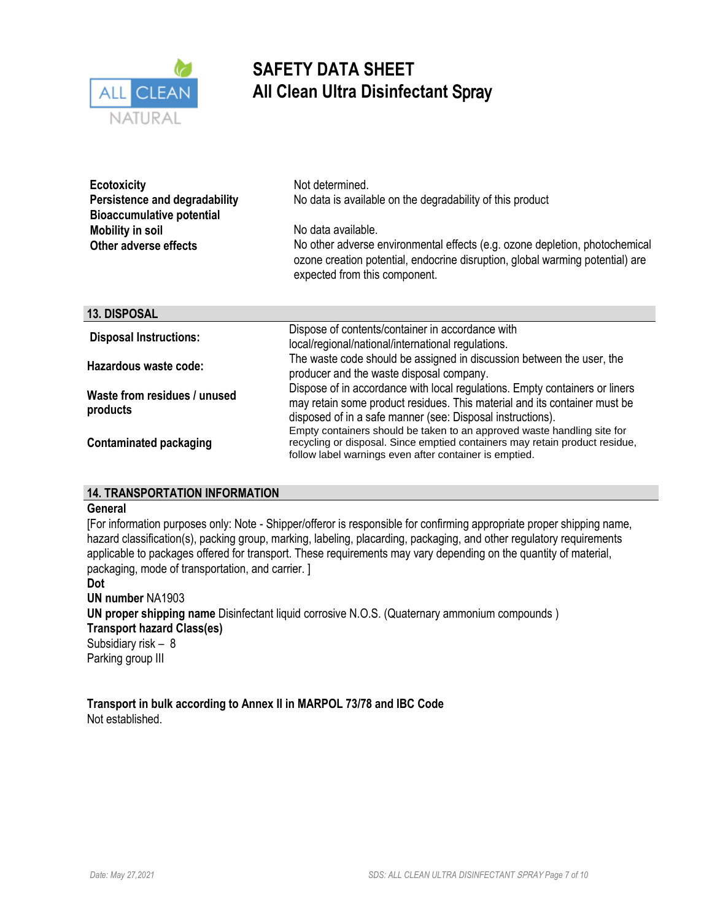

| <b>Ecotoxicity</b>                   | Not determined.                                                                                                                                                                               |  |  |
|--------------------------------------|-----------------------------------------------------------------------------------------------------------------------------------------------------------------------------------------------|--|--|
| <b>Persistence and degradability</b> | No data is available on the degradability of this product                                                                                                                                     |  |  |
| <b>Bioaccumulative potential</b>     |                                                                                                                                                                                               |  |  |
| <b>Mobility in soil</b>              | No data available.                                                                                                                                                                            |  |  |
| Other adverse effects                | No other adverse environmental effects (e.g. ozone depletion, photochemical<br>ozone creation potential, endocrine disruption, global warming potential) are<br>expected from this component. |  |  |
| 13. DISPOSAL                         |                                                                                                                                                                                               |  |  |
| <b>Disposal Instructions:</b>        | Dispose of contents/container in accordance with                                                                                                                                              |  |  |
|                                      | local/regional/national/international regulations.                                                                                                                                            |  |  |
| Hazardous waste code:                | The waste code should be assigned in discussion between the user, the<br>producer and the waste disposal company.                                                                             |  |  |
| Maata fuam waaldu aa Lumuaad         | Dispose of in accordance with local regulations. Empty containers or liners                                                                                                                   |  |  |

**Waste from residues / unused products**

**Contaminated packaging**

### **14. TRANSPORTATION INFORMATION**

#### **General**

[For information purposes only: Note - Shipper/offeror is responsible for confirming appropriate proper shipping name, hazard classification(s), packing group, marking, labeling, placarding, packaging, and other regulatory requirements applicable to packages offered for transport. These requirements may vary depending on the quantity of material, packaging, mode of transportation, and carrier. ]

**Dot UN number** NA1903 **UN proper shipping name** Disinfectant liquid corrosive N.O.S. (Quaternary ammonium compounds ) **Transport hazard Class(es)**  Subsidiary risk – 8 Parking group III

**Transport in bulk according to Annex II in MARPOL 73/78 and IBC Code** Not established.

may retain some product residues. This material and its container must be

Empty containers should be taken to an approved waste handling site for recycling or disposal. Since emptied containers may retain product residue,

disposed of in a safe manner (see: Disposal instructions).

follow label warnings even after container is emptied.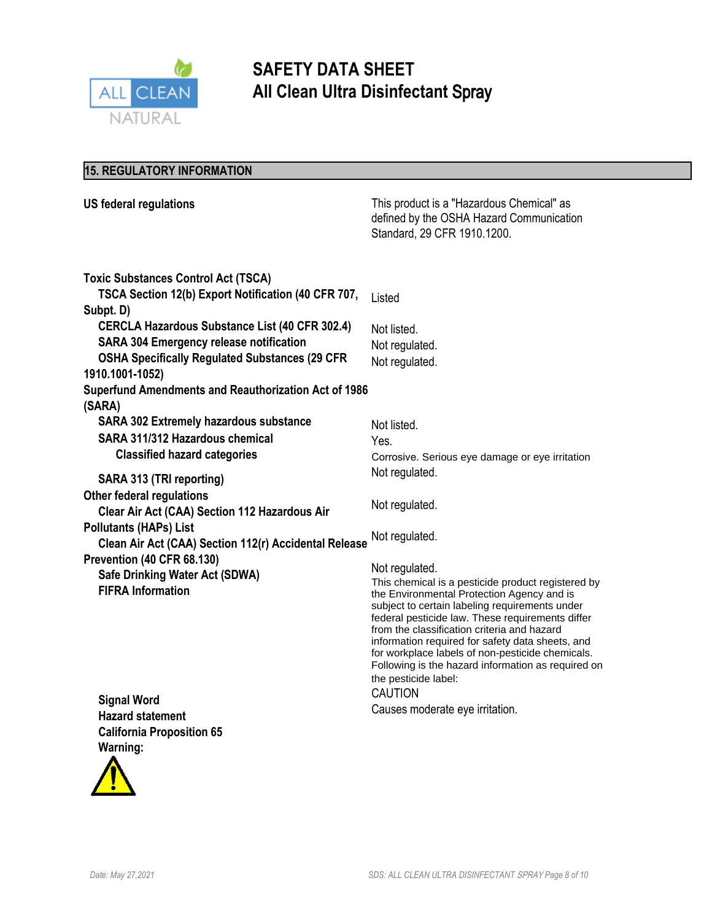

### **15. REGULATORY INFORMATION**

| <b>US federal regulations</b>                               | This product is a "Hazardous Chemical" as<br>defined by the OSHA Hazard Communication<br>Standard, 29 CFR 1910.1200.                                                                                                                                                                                                                                                                                                                                          |
|-------------------------------------------------------------|---------------------------------------------------------------------------------------------------------------------------------------------------------------------------------------------------------------------------------------------------------------------------------------------------------------------------------------------------------------------------------------------------------------------------------------------------------------|
| <b>Toxic Substances Control Act (TSCA)</b>                  |                                                                                                                                                                                                                                                                                                                                                                                                                                                               |
| TSCA Section 12(b) Export Notification (40 CFR 707,         | Listed                                                                                                                                                                                                                                                                                                                                                                                                                                                        |
| Subpt. D)                                                   |                                                                                                                                                                                                                                                                                                                                                                                                                                                               |
| <b>CERCLA Hazardous Substance List (40 CFR 302.4)</b>       | Not listed.                                                                                                                                                                                                                                                                                                                                                                                                                                                   |
| <b>SARA 304 Emergency release notification</b>              | Not regulated.                                                                                                                                                                                                                                                                                                                                                                                                                                                |
| <b>OSHA Specifically Regulated Substances (29 CFR</b>       | Not regulated.                                                                                                                                                                                                                                                                                                                                                                                                                                                |
| 1910.1001-1052)                                             |                                                                                                                                                                                                                                                                                                                                                                                                                                                               |
| <b>Superfund Amendments and Reauthorization Act of 1986</b> |                                                                                                                                                                                                                                                                                                                                                                                                                                                               |
| (SARA)                                                      |                                                                                                                                                                                                                                                                                                                                                                                                                                                               |
| <b>SARA 302 Extremely hazardous substance</b>               | Not listed.                                                                                                                                                                                                                                                                                                                                                                                                                                                   |
| SARA 311/312 Hazardous chemical                             | Yes.                                                                                                                                                                                                                                                                                                                                                                                                                                                          |
| <b>Classified hazard categories</b>                         | Corrosive. Serious eye damage or eye irritation                                                                                                                                                                                                                                                                                                                                                                                                               |
| SARA 313 (TRI reporting)                                    | Not regulated.                                                                                                                                                                                                                                                                                                                                                                                                                                                |
| <b>Other federal regulations</b>                            |                                                                                                                                                                                                                                                                                                                                                                                                                                                               |
| Clear Air Act (CAA) Section 112 Hazardous Air               | Not regulated.                                                                                                                                                                                                                                                                                                                                                                                                                                                |
| <b>Pollutants (HAPs) List</b>                               |                                                                                                                                                                                                                                                                                                                                                                                                                                                               |
| Clean Air Act (CAA) Section 112(r) Accidental Release       | Not regulated.                                                                                                                                                                                                                                                                                                                                                                                                                                                |
| Prevention (40 CFR 68.130)                                  |                                                                                                                                                                                                                                                                                                                                                                                                                                                               |
| <b>Safe Drinking Water Act (SDWA)</b>                       | Not regulated.                                                                                                                                                                                                                                                                                                                                                                                                                                                |
| <b>FIFRA Information</b>                                    | This chemical is a pesticide product registered by<br>the Environmental Protection Agency and is<br>subject to certain labeling requirements under<br>federal pesticide law. These requirements differ<br>from the classification criteria and hazard<br>information required for safety data sheets, and<br>for workplace labels of non-pesticide chemicals.<br>Following is the hazard information as required on<br>the pesticide label:<br><b>CAUTION</b> |
| <b>Signal Word</b>                                          |                                                                                                                                                                                                                                                                                                                                                                                                                                                               |
| <b>Hazard statement</b>                                     | Causes moderate eye irritation.                                                                                                                                                                                                                                                                                                                                                                                                                               |
| <b>California Proposition 65</b>                            |                                                                                                                                                                                                                                                                                                                                                                                                                                                               |
| Warning:                                                    |                                                                                                                                                                                                                                                                                                                                                                                                                                                               |
| A                                                           |                                                                                                                                                                                                                                                                                                                                                                                                                                                               |

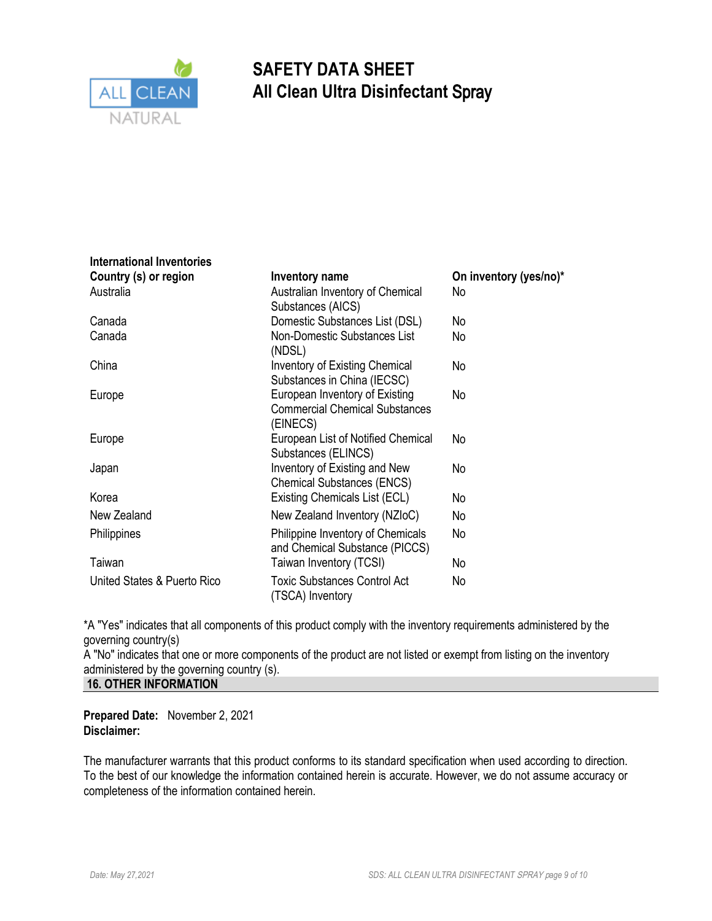

**International Inventories**

# **SAFETY DATA SHEET All Clean Ultra Disinfectant** Spray

| <u>MIGHANOHALIIVEIKUNGS</u> |                                                                                     |                        |
|-----------------------------|-------------------------------------------------------------------------------------|------------------------|
| Country (s) or region       | Inventory name                                                                      | On inventory (yes/no)* |
| Australia                   | Australian Inventory of Chemical<br>Substances (AICS)                               | No                     |
| Canada                      | Domestic Substances List (DSL)                                                      | No                     |
| Canada                      | Non-Domestic Substances List<br>(NDSL)                                              | No                     |
| China                       | Inventory of Existing Chemical<br>Substances in China (IECSC)                       | No                     |
| Europe                      | European Inventory of Existing<br><b>Commercial Chemical Substances</b><br>(EINECS) | No                     |
| Europe                      | European List of Notified Chemical<br>Substances (ELINCS)                           | No                     |
| Japan                       | Inventory of Existing and New<br><b>Chemical Substances (ENCS)</b>                  | No                     |
| Korea                       | Existing Chemicals List (ECL)                                                       | No                     |
| New Zealand                 | New Zealand Inventory (NZIoC)                                                       | No                     |
| Philippines                 | Philippine Inventory of Chemicals<br>and Chemical Substance (PICCS)                 | No                     |
| Taiwan                      | Taiwan Inventory (TCSI)                                                             | No                     |
| United States & Puerto Rico | <b>Toxic Substances Control Act</b><br>(TSCA) Inventory                             | No                     |

\*A "Yes" indicates that all components of this product comply with the inventory requirements administered by the governing country(s)

A "No" indicates that one or more components of the product are not listed or exempt from listing on the inventory administered by the governing country (s).

**16. OTHER INFORMATION**

**Prepared Date:** November 2, 2021 **Disclaimer:** 

The manufacturer warrants that this product conforms to its standard specification when used according to direction. To the best of our knowledge the information contained herein is accurate. However, we do not assume accuracy or completeness of the information contained herein.